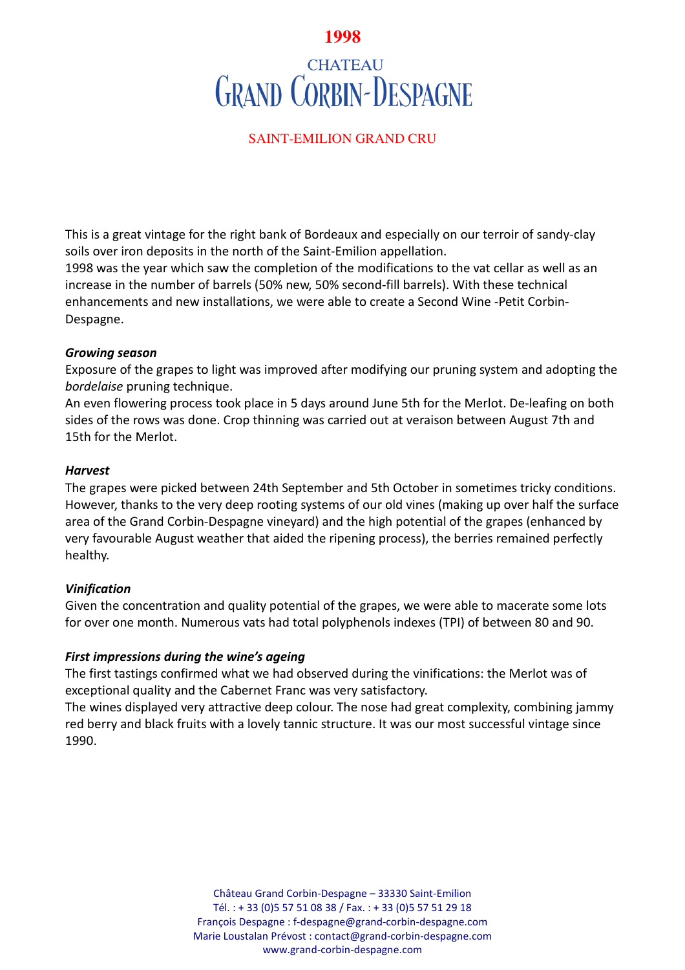# **1998**

# **CHATEAU GRAND CORBIN-DESPAGNE**

## SAINT-EMILION GRAND CRU

This is a great vintage for the right bank of Bordeaux and especially on our terroir of sandy-clay soils over iron deposits in the north of the Saint-Emilion appellation.

1998 was the year which saw the completion of the modifications to the vat cellar as well as an increase in the number of barrels (50% new, 50% second-fill barrels). With these technical enhancements and new installations, we were able to create a Second Wine -Petit Corbin-Despagne.

#### *Growing season*

Exposure of the grapes to light was improved after modifying our pruning system and adopting the *bordelaise* pruning technique.

An even flowering process took place in 5 days around June 5th for the Merlot. De-leafing on both sides of the rows was done. Crop thinning was carried out at veraison between August 7th and 15th for the Merlot.

#### *Harvest*

The grapes were picked between 24th September and 5th October in sometimes tricky conditions. However, thanks to the very deep rooting systems of our old vines (making up over half the surface area of the Grand Corbin-Despagne vineyard) and the high potential of the grapes (enhanced by very favourable August weather that aided the ripening process), the berries remained perfectly healthy.

## *Vinification*

Given the concentration and quality potential of the grapes, we were able to macerate some lots for over one month. Numerous vats had total polyphenols indexes (TPI) of between 80 and 90.

## *First impressions during the wine's ageing*

The first tastings confirmed what we had observed during the vinifications: the Merlot was of exceptional quality and the Cabernet Franc was very satisfactory.

The wines displayed very attractive deep colour. The nose had great complexity, combining jammy red berry and black fruits with a lovely tannic structure. It was our most successful vintage since 1990.

> Château Grand Corbin-Despagne – 33330 Saint-Emilion Tél. : + 33 (0)5 57 51 08 38 / Fax. : + 33 (0)5 57 51 29 18 François Despagne : f-despagne@grand-corbin-despagne.com Marie Loustalan Prévost : contact@grand-corbin-despagne.com www.grand-corbin-despagne.com